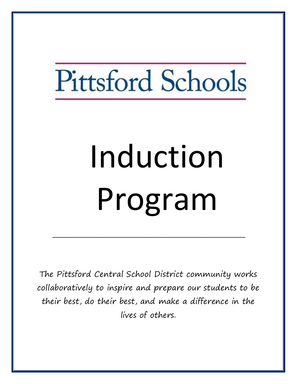# Pittsford Schools

# Induction Program

The Pittsford Central School District community works collaboratively to inspire and prepare our students to be their best, do their best, and make a difference in the lives of others.

\_\_\_\_\_\_\_\_\_\_\_\_\_\_\_\_\_\_\_\_\_\_\_\_\_\_\_\_\_\_\_\_\_\_\_\_\_\_\_\_\_\_\_\_\_\_\_\_\_\_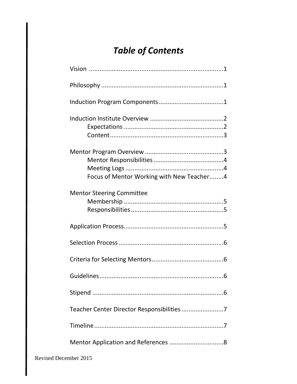# **Table of Contents**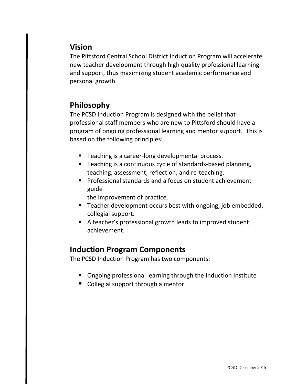#### **Vision**

The Pittsford Central School District Induction Program will accelerate new teacher development through high quality professional learning and support, thus maximizing student academic performance and personal growth.

#### **Philosophy**

The PCSD Induction Program is designed with the belief that professional staff members who are new to Pittsford should have a program of ongoing professional learning and mentor support. This is based on the following principles:

- Teaching is a career-long developmental process.
- **Teaching is a continuous cycle of standards-based planning,** teaching, assessment, reflection, and re-teaching.
- **Professional standards and a focus on student achievement** guide

the improvement of practice.

- Teacher development occurs best with ongoing, job embedded, collegial support.
- A teacher's professional growth leads to improved student achievement.

#### **Induction Program Components**

The PCSD Induction Program has two components:

- Ongoing professional learning through the Induction Institute
- Collegial support through a mentor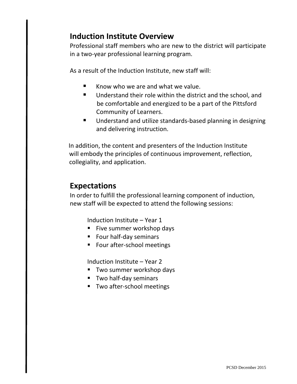#### **Induction Institute Overview**

Professional staff members who are new to the district will participate in a two-year professional learning program.

As a result of the Induction Institute, new staff will:

- Know who we are and what we value.
- Understand their role within the district and the school, and be comfortable and energized to be a part of the Pittsford Community of Learners.
- **Understand and utilize standards-based planning in designing** and delivering instruction.

 In addition, the content and presenters of the Induction Institute will embody the principles of continuous improvement, reflection, collegiality, and application.

#### **Expectations**

In order to fulfill the professional learning component of induction, new staff will be expected to attend the following sessions:

Induction Institute – Year 1

- **Five summer workshop days**
- **Four half-day seminars**
- Four after-school meetings

Induction Institute – Year 2

- **Two summer workshop days**
- **Two half-day seminars**
- **Two after-school meetings**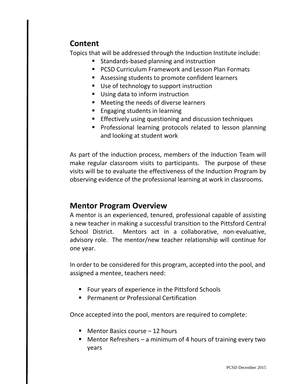#### **Content**

Topics that will be addressed through the Induction Institute include:

- **Standards-based planning and instruction**
- **PCSD Curriculum Framework and Lesson Plan Formats**
- Assessing students to promote confident learners
- Use of technology to support instruction
- Using data to inform instruction
- Meeting the needs of diverse learners
- **Engaging students in learning**
- **Effectively using questioning and discussion techniques**
- **Professional learning protocols related to lesson planning** and looking at student work

As part of the induction process, members of the Induction Team will make regular classroom visits to participants. The purpose of these visits will be to evaluate the effectiveness of the Induction Program by observing evidence of the professional learning at work in classrooms.

#### **Mentor Program Overview**

A mentor is an experienced, tenured, professional capable of assisting a new teacher in making a successful transition to the Pittsford Central School District. Mentors act in a collaborative, non-evaluative, advisory role. The mentor/new teacher relationship will continue for one year.

In order to be considered for this program, accepted into the pool, and assigned a mentee, teachers need:

- **FIM** Four years of experience in the Pittsford Schools
- **Permanent or Professional Certification**

Once accepted into the pool, mentors are required to complete:

- Mentor Basics course 12 hours
- Mentor Refreshers a minimum of 4 hours of training every two years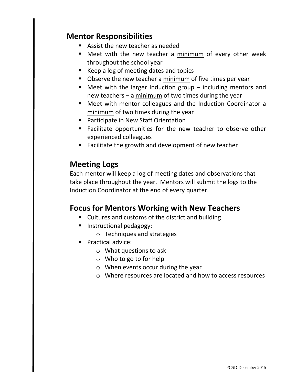#### **Mentor Responsibilities**

- **Assist the new teacher as needed**
- Meet with the new teacher a minimum of every other week throughout the school year
- Keep a log of meeting dates and topics
- **D** Observe the new teacher a minimum of five times per year
- $\blacksquare$  Meet with the larger Induction group including mentors and new teachers – a minimum of two times during the year
- Meet with mentor colleagues and the Induction Coordinator a minimum of two times during the year
- **Participate in New Staff Orientation**
- **Facilitate opportunities for the new teacher to observe other** experienced colleagues
- Facilitate the growth and development of new teacher

#### **Meeting Logs**

Each mentor will keep a log of meeting dates and observations that take place throughout the year. Mentors will submit the logs to the Induction Coordinator at the end of every quarter.

#### **Focus for Mentors Working with New Teachers**

- **Cultures and customs of the district and building**
- **Instructional pedagogy:** 
	- o Techniques and strategies
- **Practical advice:** 
	- o What questions to ask
	- o Who to go to for help
	- o When events occur during the year
	- o Where resources are located and how to access resources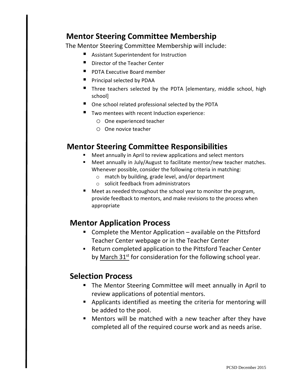#### **Mentor Steering Committee Membership**

The Mentor Steering Committee Membership will include:

- Assistant Superintendent for Instruction
- Director of the Teacher Center
- **PI** PDTA Executive Board member
- **Principal selected by PDAA**
- Three teachers selected by the PDTA [elementary, middle school, high school]
- One school related professional selected by the PDTA
- Two mentees with recent Induction experience:
	- o One experienced teacher
	- o One novice teacher

#### **Mentor Steering Committee Responsibilities**

- Meet annually in April to review applications and select mentors
- Meet annually in July/August to facilitate mentor/new teacher matches. Whenever possible, consider the following criteria in matching:
	- o match by building, grade level, and/or department
	- o solicit feedback from administrators
- Meet as needed throughout the school year to monitor the program, provide feedback to mentors, and make revisions to the process when appropriate

#### **Mentor Application Process**

- Complete the Mentor Application available on the Pittsford Teacher Center webpage or in the Teacher Center
- Return completed application to the Pittsford Teacher Center by March 31<sup>st</sup> for consideration for the following school year.

#### **Selection Process**

- **The Mentor Steering Committee will meet annually in April to** review applications of potential mentors.
- **Applicants identified as meeting the criteria for mentoring will** be added to the pool.
- **Mentors will be matched with a new teacher after they have** completed all of the required course work and as needs arise.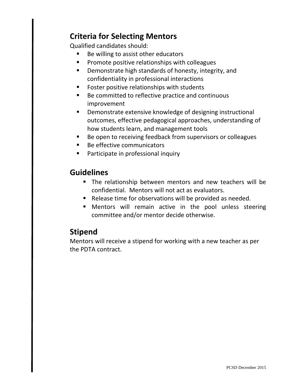#### **Criteria for Selecting Mentors**

Qualified candidates should:

- Be willing to assist other educators
- **Promote positive relationships with colleagues**
- **•** Demonstrate high standards of honesty, integrity, and confidentiality in professional interactions
- **FIC FOSTER POSITIVE relationships with students**
- Be committed to reflective practice and continuous improvement
- Demonstrate extensive knowledge of designing instructional outcomes, effective pedagogical approaches, understanding of how students learn, and management tools
- **Be open to receiving feedback from supervisors or colleagues**
- Be effective communicators
- **Participate in professional inquiry**

#### **Guidelines**

- The relationship between mentors and new teachers will be confidential. Mentors will not act as evaluators.
- Release time for observations will be provided as needed.
- Mentors will remain active in the pool unless steering committee and/or mentor decide otherwise.

## **Stipend**

Mentors will receive a stipend for working with a new teacher as per the PDTA contract.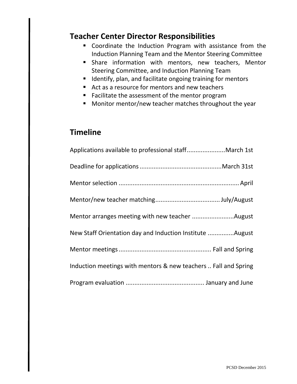#### **Teacher Center Director Responsibilities**

- Coordinate the Induction Program with assistance from the Induction Planning Team and the Mentor Steering Committee
- **Share information with mentors, new teachers, Mentor** Steering Committee, and Induction Planning Team
- **Indentify, plan, and facilitate ongoing training for mentors**
- Act as a resource for mentors and new teachers
- **Facilitate the assessment of the mentor program**
- **Monitor mentor/new teacher matches throughout the year**

#### **Timeline**

| Applications available to professional staff March 1st          |
|-----------------------------------------------------------------|
|                                                                 |
|                                                                 |
|                                                                 |
| Mentor arranges meeting with new teacher August                 |
| New Staff Orientation day and Induction Institute August        |
|                                                                 |
| Induction meetings with mentors & new teachers  Fall and Spring |
|                                                                 |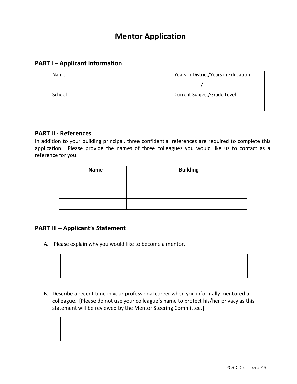#### **Mentor Application**

#### **PART I – Applicant Information**

| Name   | Years in District/Years in Education |
|--------|--------------------------------------|
|        |                                      |
| School | Current Subject/Grade Level          |
|        |                                      |

#### **PART II - References**

In addition to your building principal, three confidential references are required to complete this application. Please provide the names of three colleagues you would like us to contact as a reference for you.

| <b>Name</b> | <b>Building</b> |  |  |  |  |
|-------------|-----------------|--|--|--|--|
|             |                 |  |  |  |  |
|             |                 |  |  |  |  |
|             |                 |  |  |  |  |

#### **PART III – Applicant's Statement**

A. Please explain why you would like to become a mentor.

B. Describe a recent time in your professional career when you informally mentored a colleague. [Please do not use your colleague's name to protect his/her privacy as this statement will be reviewed by the Mentor Steering Committee.]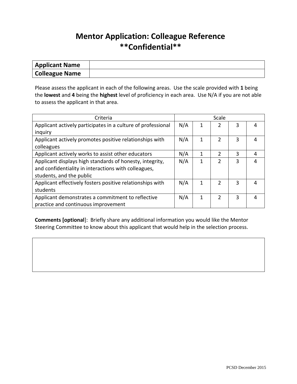#### **Mentor Application: Colleague Reference \*\*Confidential\*\***

| <b>Applicant Name</b> |  |
|-----------------------|--|
| Colleague Name        |  |

Please assess the applicant in each of the following areas. Use the scale provided with **1** being the **lowest** and **4** being the **highest** level of proficiency in each area. Use N/A if you are not able to assess the applicant in that area.

| Criteria                                                     |     | Scale |               |   |   |  |
|--------------------------------------------------------------|-----|-------|---------------|---|---|--|
| Applicant actively participates in a culture of professional |     | 1     | 2             | 3 |   |  |
| inquiry                                                      |     |       |               |   |   |  |
| Applicant actively promotes positive relationships with      | N/A | 1     | $\mathfrak z$ | 3 |   |  |
| colleagues                                                   |     |       |               |   |   |  |
| Applicant actively works to assist other educators           | N/A | 1     | $\mathfrak z$ | 3 | 4 |  |
| Applicant displays high standards of honesty, integrity,     | N/A | 1     | $\mathfrak z$ | 3 |   |  |
| and confidentiality in interactions with colleagues,         |     |       |               |   |   |  |
| students, and the public                                     |     |       |               |   |   |  |
| Applicant effectively fosters positive relationships with    | N/A | 1     | 2             | 3 |   |  |
| students                                                     |     |       |               |   |   |  |
| Applicant demonstrates a commitment to reflective            | N/A | 1     | $\mathfrak z$ | 3 | Δ |  |
| practice and continuous improvement                          |     |       |               |   |   |  |

**Comments [optional**]: Briefly share any additional information you would like the Mentor Steering Committee to know about this applicant that would help in the selection process.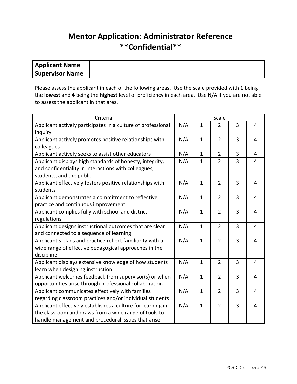### **Mentor Application: Administrator Reference \*\*Confidential\*\***

| <b>Applicant Name</b> |  |
|-----------------------|--|
| Supervisor Name       |  |

Please assess the applicant in each of the following areas. Use the scale provided with **1** being the **lowest** and **4** being the **highest** level of proficiency in each area. Use N/A if you are not able to assess the applicant in that area.

| Criteria                                                     |     | Scale          |                |                |                |
|--------------------------------------------------------------|-----|----------------|----------------|----------------|----------------|
| Applicant actively participates in a culture of professional | N/A | $\overline{1}$ | $\overline{2}$ | 3              | $\overline{4}$ |
| inquiry                                                      |     |                |                |                |                |
| Applicant actively promotes positive relationships with      | N/A | $\mathbf{1}$   | $\overline{2}$ | 3              | 4              |
| colleagues                                                   |     |                |                |                |                |
| Applicant actively seeks to assist other educators           | N/A | 1              | $\overline{2}$ | 3              | 4              |
| Applicant displays high standards of honesty, integrity,     | N/A | $\overline{1}$ | $\overline{2}$ | 3              | 4              |
| and confidentiality in interactions with colleagues,         |     |                |                |                |                |
| students, and the public                                     |     |                |                |                |                |
| Applicant effectively fosters positive relationships with    | N/A | $\mathbf{1}$   | $\overline{2}$ | 3              | $\overline{4}$ |
| students                                                     |     |                |                |                |                |
| Applicant demonstrates a commitment to reflective            | N/A | $\mathbf{1}$   | $\overline{2}$ | 3              | $\overline{4}$ |
| practice and continuous improvement                          |     |                |                |                |                |
| Applicant complies fully with school and district            | N/A | $\mathbf{1}$   | $\overline{2}$ | $\overline{3}$ | 4              |
| regulations                                                  |     |                |                |                |                |
| Applicant designs instructional outcomes that are clear      | N/A | 1              | $\overline{2}$ | 3              | 4              |
| and connected to a sequence of learning                      |     |                |                |                |                |
| Applicant's plans and practice reflect familiarity with a    | N/A | $\overline{1}$ | $\overline{2}$ | 3              | 4              |
| wide range of effective pedagogical approaches in the        |     |                |                |                |                |
| discipline                                                   |     |                |                |                |                |
| Applicant displays extensive knowledge of how students       | N/A | $\mathbf{1}$   | $\overline{2}$ | $\overline{3}$ | 4              |
| learn when designing instruction                             |     |                |                |                |                |
| Applicant welcomes feedback from supervisor(s) or when       | N/A | $\overline{1}$ | $\overline{2}$ | 3              | 4              |
| opportunities arise through professional collaboration       |     |                |                |                |                |
| Applicant communicates effectively with families             |     | $\mathbf{1}$   | $\overline{2}$ | 3              | 4              |
| regarding classroom practices and/or individual students     |     |                |                |                |                |
| Applicant effectively establishes a culture for learning in  |     | $\mathbf{1}$   | $\overline{2}$ | 3              | 4              |
| the classroom and draws from a wide range of tools to        |     |                |                |                |                |
| handle management and procedural issues that arise           |     |                |                |                |                |